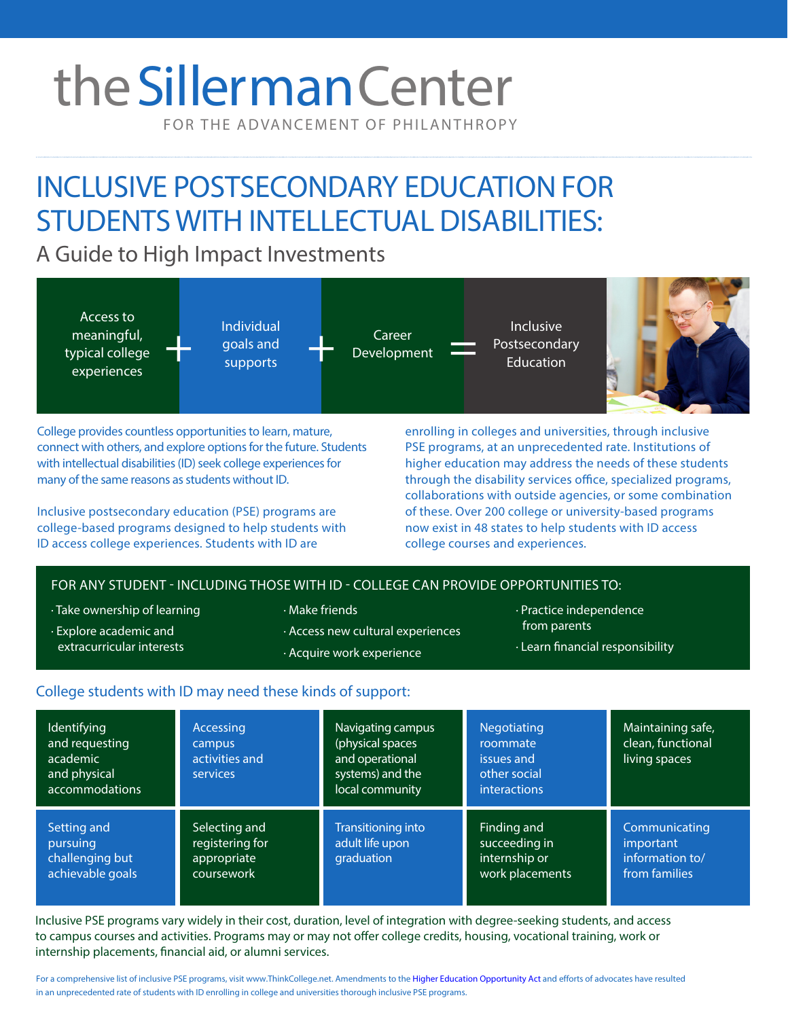# theSillerman Center

FOR THE ADVANCEMENT OF PHILANTHROPY

## INCLUSIVE POSTSECONDARY EDUCATION FOR STUDENTS WITH INTELLECTUAL DISABILITIES:

A Guide to High Impact Investments



College provides countless opportunities to learn, mature, connect with others, and explore options for the future. Students with intellectual disabilities (ID) seek college experiences for many of the same reasons as students without ID.

Inclusive postsecondary education (PSE) programs are college-based programs designed to help students with ID access college experiences. Students with ID are

enrolling in colleges and universities, through inclusive PSE programs, at an unprecedented rate. Institutions of higher education may address the needs of these students through the disability services office, specialized programs, collaborations with outside agencies, or some combination of these. Over 200 college or university-based programs now exist in 48 states to help students with ID access college courses and experiences.

### FOR ANY STUDENT - INCLUDING THOSE WITH ID - COLLEGE CAN PROVIDE OPPORTUNITIES TO:

· Take ownership of learning

· Explore academic and extracurricular interests

- · Make friends
- · Access new cultural experiences
	- · Acquire work experience
- · Practice independence from parents
- · Learn financial responsibility

#### College students with ID may need these kinds of support:

| Identifying<br>and requesting<br>academic<br>and physical<br>accommodations | Accessing<br>campus<br>activities and<br>services             | Navigating campus<br>(physical spaces<br>and operational<br>systems) and the<br>local community | <b>Negotiating</b><br>roommate<br>issues and<br>other social<br><b>interactions</b> | Maintaining safe,<br>clean, functional<br>living spaces        |
|-----------------------------------------------------------------------------|---------------------------------------------------------------|-------------------------------------------------------------------------------------------------|-------------------------------------------------------------------------------------|----------------------------------------------------------------|
| Setting and<br>pursuing<br>challenging but<br>achievable goals              | Selecting and<br>registering for<br>appropriate<br>coursework | <b>Transitioning into</b><br>adult life upon<br>graduation                                      | Finding and<br>succeeding in<br>internship or<br>work placements                    | Communicating<br>important<br>information to/<br>from families |

Inclusive PSE programs vary widely in their cost, duration, level of integration with degree-seeking students, and access to campus courses and activities. Programs may or may not offer college credits, housing, vocational training, work or internship placements, financial aid, or alumni services.

For a comprehensive list of inclusive PSE programs, visit www.ThinkCollege.net. Amendments to the [Higher Education Opportunity Act](http://www2.ed.gov/policy/highered/leg/hea08/index.html) and efforts of advocates have resulted in an unprecedented rate of students with ID enrolling in college and universities thorough inclusive PSE programs.